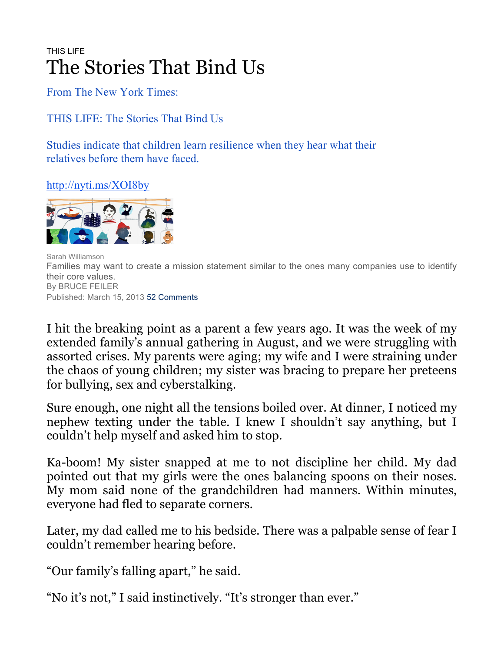## THIS LIFE The Stories That Bind Us

From The New York Times:

THIS LIFE: The Stories That Bind Us

Studies indicate that children learn resilience when they hear what their relatives before them have faced.

http://nyti.ms/XOI8by



Sarah Williamson Families may want to create a mission statement similar to the ones many companies use to identify their core values. By BRUCE FEILER Published: March 15, 2013 52 Comments

I hit the breaking point as a parent a few years ago. It was the week of my extended family's annual gathering in August, and we were struggling with assorted crises. My parents were aging; my wife and I were straining under the chaos of young children; my sister was bracing to prepare her preteens for bullying, sex and cyberstalking.

Sure enough, one night all the tensions boiled over. At dinner, I noticed my nephew texting under the table. I knew I shouldn't say anything, but I couldn't help myself and asked him to stop.

Ka-boom! My sister snapped at me to not discipline her child. My dad pointed out that my girls were the ones balancing spoons on their noses. My mom said none of the grandchildren had manners. Within minutes, everyone had fled to separate corners.

Later, my dad called me to his bedside. There was a palpable sense of fear I couldn't remember hearing before.

"Our family's falling apart," he said.

"No it's not," I said instinctively. "It's stronger than ever."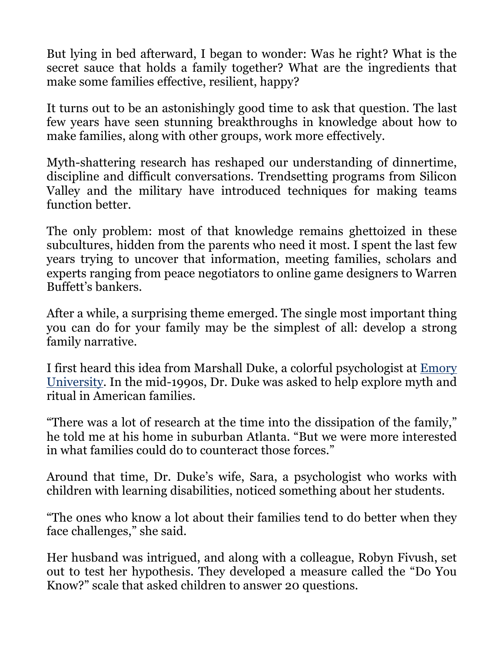But lying in bed afterward, I began to wonder: Was he right? What is the secret sauce that holds a family together? What are the ingredients that make some families effective, resilient, happy?

It turns out to be an astonishingly good time to ask that question. The last few years have seen stunning breakthroughs in knowledge about how to make families, along with other groups, work more effectively.

Myth-shattering research has reshaped our understanding of dinnertime, discipline and difficult conversations. Trendsetting programs from Silicon Valley and the military have introduced techniques for making teams function better.

The only problem: most of that knowledge remains ghettoized in these subcultures, hidden from the parents who need it most. I spent the last few years trying to uncover that information, meeting families, scholars and experts ranging from peace negotiators to online game designers to Warren Buffett's bankers.

After a while, a surprising theme emerged. The single most important thing you can do for your family may be the simplest of all: develop a strong family narrative.

I first heard this idea from Marshall Duke, a colorful psychologist at Emory University. In the mid-1990s, Dr. Duke was asked to help explore myth and ritual in American families.

"There was a lot of research at the time into the dissipation of the family," he told me at his home in suburban Atlanta. "But we were more interested in what families could do to counteract those forces."

Around that time, Dr. Duke's wife, Sara, a psychologist who works with children with learning disabilities, noticed something about her students.

"The ones who know a lot about their families tend to do better when they face challenges," she said.

Her husband was intrigued, and along with a colleague, Robyn Fivush, set out to test her hypothesis. They developed a measure called the "Do You Know?" scale that asked children to answer 20 questions.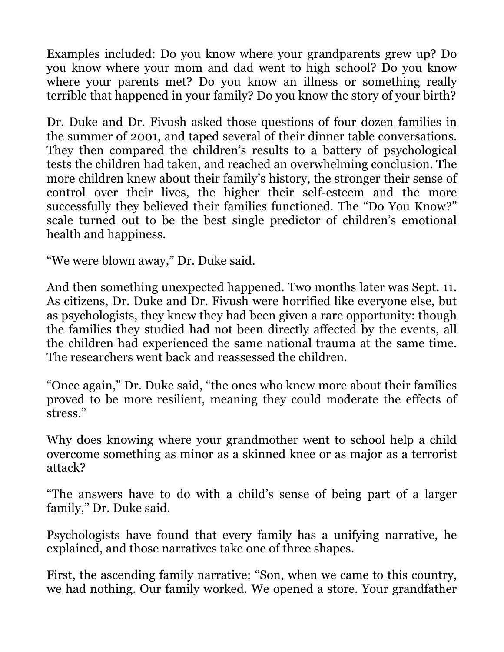Examples included: Do you know where your grandparents grew up? Do you know where your mom and dad went to high school? Do you know where your parents met? Do you know an illness or something really terrible that happened in your family? Do you know the story of your birth?

Dr. Duke and Dr. Fivush asked those questions of four dozen families in the summer of 2001, and taped several of their dinner table conversations. They then compared the children's results to a battery of psychological tests the children had taken, and reached an overwhelming conclusion. The more children knew about their family's history, the stronger their sense of control over their lives, the higher their self-esteem and the more successfully they believed their families functioned. The "Do You Know?" scale turned out to be the best single predictor of children's emotional health and happiness.

"We were blown away," Dr. Duke said.

And then something unexpected happened. Two months later was Sept. 11. As citizens, Dr. Duke and Dr. Fivush were horrified like everyone else, but as psychologists, they knew they had been given a rare opportunity: though the families they studied had not been directly affected by the events, all the children had experienced the same national trauma at the same time. The researchers went back and reassessed the children.

"Once again," Dr. Duke said, "the ones who knew more about their families proved to be more resilient, meaning they could moderate the effects of stress."

Why does knowing where your grandmother went to school help a child overcome something as minor as a skinned knee or as major as a terrorist attack?

"The answers have to do with a child's sense of being part of a larger family," Dr. Duke said.

Psychologists have found that every family has a unifying narrative, he explained, and those narratives take one of three shapes.

First, the ascending family narrative: "Son, when we came to this country, we had nothing. Our family worked. We opened a store. Your grandfather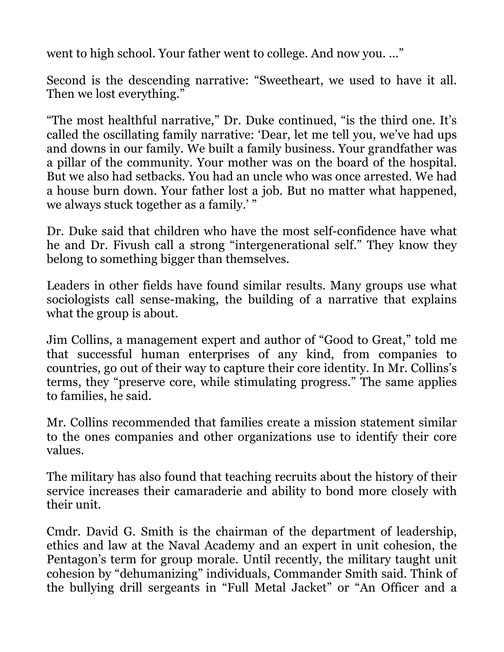went to high school. Your father went to college. And now you...."

Second is the descending narrative: "Sweetheart, we used to have it all. Then we lost everything."

"The most healthful narrative," Dr. Duke continued, "is the third one. It's called the oscillating family narrative: 'Dear, let me tell you, we've had ups and downs in our family. We built a family business. Your grandfather was a pillar of the community. Your mother was on the board of the hospital. But we also had setbacks. You had an uncle who was once arrested. We had a house burn down. Your father lost a job. But no matter what happened, we always stuck together as a family.'"

Dr. Duke said that children who have the most self-confidence have what he and Dr. Fivush call a strong "intergenerational self." They know they belong to something bigger than themselves.

Leaders in other fields have found similar results. Many groups use what sociologists call sense-making, the building of a narrative that explains what the group is about.

Jim Collins, a management expert and author of "Good to Great," told me that successful human enterprises of any kind, from companies to countries, go out of their way to capture their core identity. In Mr. Collins's terms, they "preserve core, while stimulating progress." The same applies to families, he said.

Mr. Collins recommended that families create a mission statement similar to the ones companies and other organizations use to identify their core values.

The military has also found that teaching recruits about the history of their service increases their camaraderie and ability to bond more closely with their unit.

Cmdr. David G. Smith is the chairman of the department of leadership, ethics and law at the Naval Academy and an expert in unit cohesion, the Pentagon's term for group morale. Until recently, the military taught unit cohesion by "dehumanizing" individuals, Commander Smith said. Think of the bullying drill sergeants in "Full Metal Jacket" or "An Officer and a